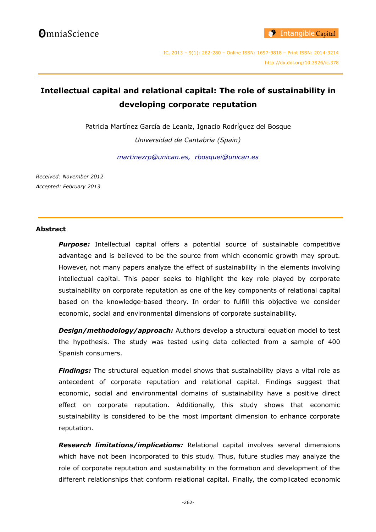# **Intellectual capital and relational capital: The role of sustainability in developing corporate reputation**

Patricia Martínez García de Leaniz, Ignacio Rodríguez del Bosque *Universidad de Cantabria (Spain)*

*[martinezrp@unican.es,](mailto:martinezrp@unican.es) [rbosquei@unican.es](mailto:rbosquei@unican.es)*

*Received: November 2012 Accepted: February 2013*

#### **Abstract**

*Purpose:* Intellectual capital offers a potential source of sustainable competitive advantage and is believed to be the source from which economic growth may sprout. However, not many papers analyze the effect of sustainability in the elements involving intellectual capital. This paper seeks to highlight the key role played by corporate sustainability on corporate reputation as one of the key components of relational capital based on the knowledge-based theory. In order to fulfill this objective we consider economic, social and environmental dimensions of corporate sustainability.

*Design/methodology/approach:* Authors develop a structural equation model to test the hypothesis. The study was tested using data collected from a sample of 400 Spanish consumers.

**Findings:** The structural equation model shows that sustainability plays a vital role as antecedent of corporate reputation and relational capital. Findings suggest that economic, social and environmental domains of sustainability have a positive direct effect on corporate reputation. Additionally, this study shows that economic sustainability is considered to be the most important dimension to enhance corporate reputation.

*Research limitations/implications:* Relational capital involves several dimensions which have not been incorporated to this study. Thus, future studies may analyze the role of corporate reputation and sustainability in the formation and development of the different relationships that conform relational capital. Finally, the complicated economic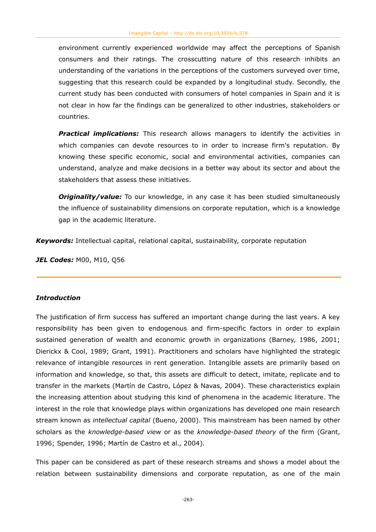environment currently experienced worldwide may affect the perceptions of Spanish consumers and their ratings. The crosscutting nature of this research inhibits an understanding of the variations in the perceptions of the customers surveyed over time, suggesting that this research could be expanded by a longitudinal study. Secondly, the current study has been conducted with consumers of hotel companies in Spain and it is not clear in how far the findings can be generalized to other industries, stakeholders or countries.

**Practical implications:** This research allows managers to identify the activities in which companies can devote resources to in order to increase firm's reputation. By knowing these specific economic, social and environmental activities, companies can understand, analyze and make decisions in a better way about its sector and about the stakeholders that assess these initiatives.

*Originality/value:* To our knowledge, in any case it has been studied simultaneously the influence of sustainability dimensions on corporate reputation, which is a knowledge gap in the academic literature.

*Keywords:* Intellectual capital, relational capital, sustainability, corporate reputation

*JEL Codes:* M00, M10, Q56

# *Introduction*

The justification of firm success has suffered an important change during the last years. A key responsibility has been given to endogenous and firm-specific factors in order to explain sustained generation of wealth and economic growth in organizations (Barney, 1986, 2001; Dierickx & Cool, 1989; Grant, 1991). Practitioners and scholars have highlighted the strategic relevance of intangible resources in rent generation. Intangible assets are primarily based on information and knowledge, so that, this assets are difficult to detect, imitate, replicate and to transfer in the markets (Martín de Castro, López & Navas, 2004). These characteristics explain the increasing attention about studying this kind of phenomena in the academic literature. The interest in the role that knowledge plays within organizations has developed one main research stream known as *intellectual capital* (Bueno, 2000). This mainstream has been named by other scholars as the *knowledge-based view* or as the *knowledge-based theory* of the firm (Grant, 1996; Spender, 1996; Martín de Castro et al., 2004).

This paper can be considered as part of these research streams and shows a model about the relation between sustainability dimensions and corporate reputation, as one of the main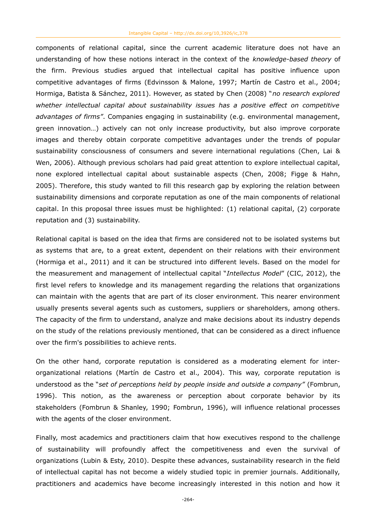components of relational capital, since the current academic literature does not have an understanding of how these notions interact in the context of the *knowledge-based theory* of the firm. Previous studies argued that intellectual capital has positive influence upon competitive advantages of firms (Edvinsson & Malone, 1997; Martín de Castro et al., 2004; Hormiga, Batista & Sánchez, 2011). However, as stated by Chen (2008) "*no research explored whether intellectual capital about sustainability issues has a positive effect on competitive advantages of firms"*. Companies engaging in sustainability (e.g. environmental management, green innovation…) actively can not only increase productivity, but also improve corporate images and thereby obtain corporate competitive advantages under the trends of popular sustainability consciousness of consumers and severe international regulations (Chen, Lai & Wen, 2006). Although previous scholars had paid great attention to explore intellectual capital, none explored intellectual capital about sustainable aspects (Chen, 2008; Figge & Hahn, 2005). Therefore, this study wanted to fill this research gap by exploring the relation between sustainability dimensions and corporate reputation as one of the main components of relational capital. In this proposal three issues must be highlighted: (1) relational capital, (2) corporate reputation and (3) sustainability.

Relational capital is based on the idea that firms are considered not to be isolated systems but as systems that are, to a great extent, dependent on their relations with their environment (Hormiga et al., 2011) and it can be structured into different levels. Based on the model for the measurement and management of intellectual capital "*Intellectus Model*" (CIC, 2012), the first level refers to knowledge and its management regarding the relations that organizations can maintain with the agents that are part of its closer environment. This nearer environment usually presents several agents such as customers, suppliers or shareholders, among others. The capacity of the firm to understand, analyze and make decisions about its industry depends on the study of the relations previously mentioned, that can be considered as a direct influence over the firm's possibilities to achieve rents.

On the other hand, corporate reputation is considered as a moderating element for interorganizational relations (Martín de Castro et al., 2004). This way, corporate reputation is understood as the "*set of perceptions held by people inside and outside a company"* (Fombrun, 1996). This notion, as the awareness or perception about corporate behavior by its stakeholders (Fombrun & Shanley, 1990; Fombrun, 1996), will influence relational processes with the agents of the closer environment.

Finally, most academics and practitioners claim that how executives respond to the challenge of sustainability will profoundly affect the competitiveness and even the survival of organizations (Lubin & Esty, 2010). Despite these advances, sustainability research in the field of intellectual capital has not become a widely studied topic in premier journals. Additionally, practitioners and academics have become increasingly interested in this notion and how it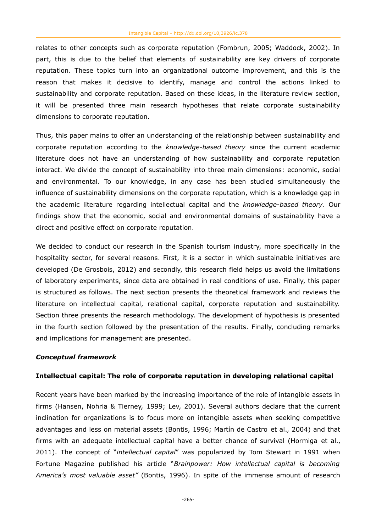relates to other concepts such as corporate reputation (Fombrun, 2005; Waddock, 2002). In part, this is due to the belief that elements of sustainability are key drivers of corporate reputation. These topics turn into an organizational outcome improvement, and this is the reason that makes it decisive to identify, manage and control the actions linked to sustainability and corporate reputation. Based on these ideas, in the literature review section, it will be presented three main research hypotheses that relate corporate sustainability dimensions to corporate reputation.

Thus, this paper mains to offer an understanding of the relationship between sustainability and corporate reputation according to the *knowledge-based theory* since the current academic literature does not have an understanding of how sustainability and corporate reputation interact. We divide the concept of sustainability into three main dimensions: economic, social and environmental. To our knowledge, in any case has been studied simultaneously the influence of sustainability dimensions on the corporate reputation, which is a knowledge gap in the academic literature regarding intellectual capital and the *knowledge-based theory*. Our findings show that the economic, social and environmental domains of sustainability have a direct and positive effect on corporate reputation.

We decided to conduct our research in the Spanish tourism industry, more specifically in the hospitality sector, for several reasons. First, it is a sector in which sustainable initiatives are developed (De Grosbois, 2012) and secondly, this research field helps us avoid the limitations of laboratory experiments, since data are obtained in real conditions of use. Finally, this paper is structured as follows. The next section presents the theoretical framework and reviews the literature on intellectual capital, relational capital, corporate reputation and sustainability. Section three presents the research methodology. The development of hypothesis is presented in the fourth section followed by the presentation of the results. Finally, concluding remarks and implications for management are presented.

# *Conceptual framework*

# **Intellectual capital: The role of corporate reputation in developing relational capital**

Recent years have been marked by the increasing importance of the role of intangible assets in firms (Hansen, Nohria & Tierney*,* 1999; Lev, 2001). Several authors declare that the current inclination for organizations is to focus more on intangible assets when seeking competitive advantages and less on material assets (Bontis, 1996; Martín de Castro et al., 2004) and that firms with an adequate intellectual capital have a better chance of survival (Hormiga et al., 2011). The concept of "*intellectual capital*" was popularized by Tom Stewart in 1991 when Fortune Magazine published his article "*Brainpower: How intellectual capital is becoming America's most valuable asset"* (Bontis, 1996). In spite of the immense amount of research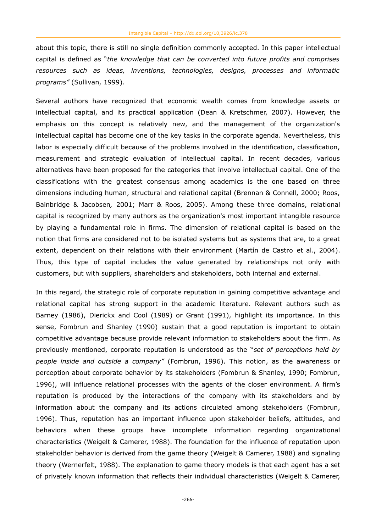about this topic, there is still no single definition commonly accepted. In this paper intellectual capital is defined as "*the knowledge that can be converted into future profits and comprises resources such as ideas, inventions, technologies, designs, processes and informatic programs"* (Sullivan, 1999).

Several authors have recognized that economic wealth comes from knowledge assets or intellectual capital, and its practical application (Dean & Kretschmer, 2007). However, the emphasis on this concept is relatively new, and the management of the organization's intellectual capital has become one of the key tasks in the corporate agenda. Nevertheless, this labor is especially difficult because of the problems involved in the identification, classification, measurement and strategic evaluation of intellectual capital. In recent decades, various alternatives have been proposed for the categories that involve intellectual capital. One of the classifications with the greatest consensus among academics is the one based on three dimensions including human, structural and relational capital (Brennan & Connell, 2000; Roos, Bainbridge & Jacobsen*,* 2001; Marr & Roos, 2005). Among these three domains, relational capital is recognized by many authors as the organization's most important intangible resource by playing a fundamental role in firms. The dimension of relational capital is based on the notion that firms are considered not to be isolated systems but as systems that are, to a great extent, dependent on their relations with their environment (Martín de Castro et al., 2004). Thus, this type of capital includes the value generated by relationships not only with customers, but with suppliers, shareholders and stakeholders, both internal and external.

In this regard, the strategic role of corporate reputation in gaining competitive advantage and relational capital has strong support in the academic literature. Relevant authors such as Barney (1986), Dierickx and Cool (1989) or Grant (1991), highlight its importance. In this sense, Fombrun and Shanley (1990) sustain that a good reputation is important to obtain competitive advantage because provide relevant information to stakeholders about the firm. As previously mentioned, corporate reputation is understood as the "*set of perceptions held by people inside and outside a company"* (Fombrun, 1996). This notion, as the awareness or perception about corporate behavior by its stakeholders (Fombrun & Shanley, 1990; Fombrun, 1996), will influence relational processes with the agents of the closer environment. A firm's reputation is produced by the interactions of the company with its stakeholders and by information about the company and its actions circulated among stakeholders (Fombrun, 1996). Thus, reputation has an important influence upon stakeholder beliefs, attitudes, and behaviors when these groups have incomplete information regarding organizational characteristics (Weigelt & Camerer, 1988). The foundation for the influence of reputation upon stakeholder behavior is derived from the game theory (Weigelt & Camerer, 1988) and signaling theory (Wernerfelt, 1988). The explanation to game theory models is that each agent has a set of privately known information that reflects their individual characteristics (Weigelt & Camerer,

-266-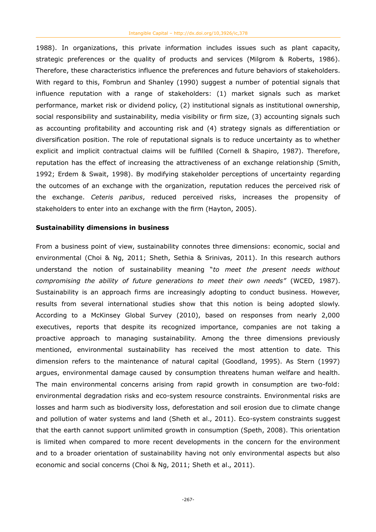1988). In organizations, this private information includes issues such as plant capacity, strategic preferences or the quality of products and services (Milgrom & Roberts, 1986). Therefore, these characteristics influence the preferences and future behaviors of stakeholders. With regard to this, Fombrun and Shanley (1990) suggest a number of potential signals that influence reputation with a range of stakeholders: (1) market signals such as market performance, market risk or dividend policy, (2) institutional signals as institutional ownership, social responsibility and sustainability, media visibility or firm size, (3) accounting signals such as accounting profitability and accounting risk and (4) strategy signals as differentiation or diversification position. The role of reputational signals is to reduce uncertainty as to whether explicit and implicit contractual claims will be fulfilled (Cornell & Shapiro, 1987). Therefore, reputation has the effect of increasing the attractiveness of an exchange relationship (Smith, 1992; Erdem & Swait, 1998). By modifying stakeholder perceptions of uncertainty regarding the outcomes of an exchange with the organization, reputation reduces the perceived risk of the exchange. *Ceteris paribus*, reduced perceived risks, increases the propensity of stakeholders to enter into an exchange with the firm (Hayton, 2005).

#### **Sustainability dimensions in business**

From a business point of view, sustainability connotes three dimensions: economic, social and environmental (Choi & Ng, 2011; Sheth, Sethia & Srinivas*,* 2011). In this research authors understand the notion of sustainability meaning "*to meet the present needs without compromising the ability of future generations to meet their own needs"* (WCED, 1987). Sustainability is an approach firms are increasingly adopting to conduct business. However, results from several international studies show that this notion is being adopted slowly. According to a McKinsey Global Survey (2010), based on responses from nearly 2,000 executives, reports that despite its recognized importance, companies are not taking a proactive approach to managing sustainability. Among the three dimensions previously mentioned, environmental sustainability has received the most attention to date. This dimension refers to the maintenance of natural capital (Goodland, 1995). As Stern (1997) argues, environmental damage caused by consumption threatens human welfare and health. The main environmental concerns arising from rapid growth in consumption are two-fold: environmental degradation risks and eco-system resource constraints. Environmental risks are losses and harm such as biodiversity loss, deforestation and soil erosion due to climate change and pollution of water systems and land (Sheth et al., 2011). Eco-system constraints suggest that the earth cannot support unlimited growth in consumption (Speth, 2008). This orientation is limited when compared to more recent developments in the concern for the environment and to a broader orientation of sustainability having not only environmental aspects but also economic and social concerns (Choi & Ng, 2011; Sheth et al., 2011).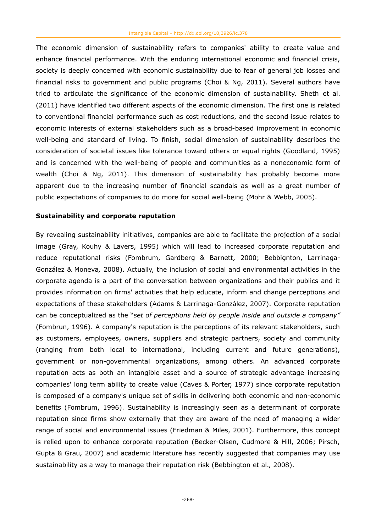The economic dimension of sustainability refers to companies' ability to create value and enhance financial performance. With the enduring international economic and financial crisis, society is deeply concerned with economic sustainability due to fear of general job losses and financial risks to government and public programs (Choi & Ng, 2011). Several authors have tried to articulate the significance of the economic dimension of sustainability. Sheth et al. (2011) have identified two different aspects of the economic dimension. The first one is related to conventional financial performance such as cost reductions, and the second issue relates to economic interests of external stakeholders such as a broad-based improvement in economic well-being and standard of living. To finish, social dimension of sustainability describes the consideration of societal issues like tolerance toward others or equal rights (Goodland, 1995) and is concerned with the well-being of people and communities as a noneconomic form of wealth (Choi & Ng, 2011). This dimension of sustainability has probably become more apparent due to the increasing number of financial scandals as well as a great number of public expectations of companies to do more for social well-being (Mohr & Webb, 2005).

#### **Sustainability and corporate reputation**

By revealing sustainability initiatives, companies are able to facilitate the projection of a social image (Gray, Kouhy & Lavers, 1995) which will lead to increased corporate reputation and reduce reputational risks (Fombrum, Gardberg & Barnett*,* 2000; Bebbignton, Larrinaga-González & Moneva*,* 2008). Actually, the inclusion of social and environmental activities in the corporate agenda is a part of the conversation between organizations and their publics and it provides information on firms' activities that help educate, inform and change perceptions and expectations of these stakeholders (Adams & Larrinaga-González, 2007). Corporate reputation can be conceptualized as the "*set of perceptions held by people inside and outside a company"* (Fombrun, 1996). A company's reputation is the perceptions of its relevant stakeholders, such as customers, employees, owners, suppliers and strategic partners, society and community (ranging from both local to international, including current and future generations), government or non-governmental organizations, among others. An advanced corporate reputation acts as both an intangible asset and a source of strategic advantage increasing companies' long term ability to create value (Caves & Porter, 1977) since corporate reputation is composed of a company's unique set of skills in delivering both economic and non-economic benefits (Fombrum, 1996). Sustainability is increasingly seen as a determinant of corporate reputation since firms show externally that they are aware of the need of managing a wider range of social and environmental issues (Friedman & Miles, 2001). Furthermore, this concept is relied upon to enhance corporate reputation (Becker-Olsen, Cudmore & Hill, 2006; Pirsch, Gupta & Grau*,* 2007) and academic literature has recently suggested that companies may use sustainability as a way to manage their reputation risk (Bebbington et al., 2008).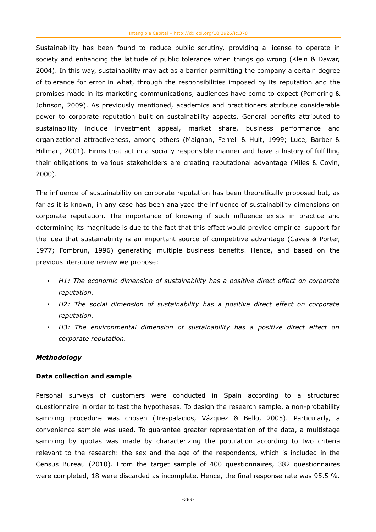Sustainability has been found to reduce public scrutiny, providing a license to operate in society and enhancing the latitude of public tolerance when things go wrong (Klein & Dawar, 2004). In this way, sustainability may act as a barrier permitting the company a certain degree of tolerance for error in what, through the responsibilities imposed by its reputation and the promises made in its marketing communications, audiences have come to expect (Pomering & Johnson, 2009). As previously mentioned, academics and practitioners attribute considerable power to corporate reputation built on sustainability aspects. General benefits attributed to sustainability include investment appeal, market share, business performance and organizational attractiveness, among others (Maignan, Ferrell & Hult, 1999; Luce, Barber & Hillman, 2001). Firms that act in a socially responsible manner and have a history of fulfilling their obligations to various stakeholders are creating reputational advantage (Miles & Covin, 2000).

The influence of sustainability on corporate reputation has been theoretically proposed but, as far as it is known, in any case has been analyzed the influence of sustainability dimensions on corporate reputation. The importance of knowing if such influence exists in practice and determining its magnitude is due to the fact that this effect would provide empirical support for the idea that sustainability is an important source of competitive advantage (Caves & Porter, 1977; Fombrun, 1996) generating multiple business benefits. Hence, and based on the previous literature review we propose:

- *H1: The economic dimension of sustainability has a positive direct effect on corporate reputation.*
- *H2: The social dimension of sustainability has a positive direct effect on corporate reputation.*
- *H3: The environmental dimension of sustainability has a positive direct effect on corporate reputation.*

# *Methodology*

# **Data collection and sample**

Personal surveys of customers were conducted in Spain according to a structured questionnaire in order to test the hypotheses. To design the research sample, a non-probability sampling procedure was chosen (Trespalacios, Vázquez & Bello, 2005). Particularly, a convenience sample was used. To guarantee greater representation of the data, a multistage sampling by quotas was made by characterizing the population according to two criteria relevant to the research: the sex and the age of the respondents, which is included in the Census Bureau (2010). From the target sample of 400 questionnaires, 382 questionnaires were completed, 18 were discarded as incomplete. Hence, the final response rate was 95.5 %.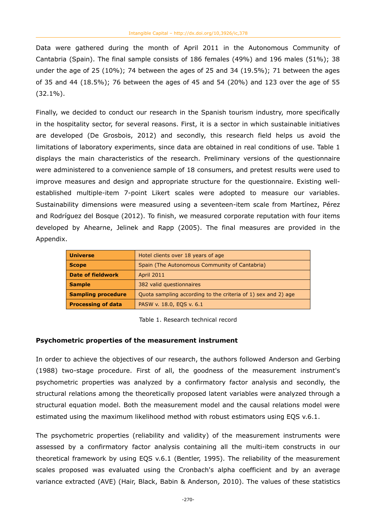Data were gathered during the month of April 2011 in the Autonomous Community of Cantabria (Spain). The final sample consists of 186 females (49%) and 196 males (51%); 38 under the age of 25 (10%); 74 between the ages of 25 and 34 (19.5%); 71 between the ages of 35 and 44 (18.5%); 76 between the ages of 45 and 54 (20%) and 123 over the age of 55 (32.1%).

Finally, we decided to conduct our research in the Spanish tourism industry, more specifically in the hospitality sector, for several reasons. First, it is a sector in which sustainable initiatives are developed (De Grosbois, 2012) and secondly, this research field helps us avoid the limitations of laboratory experiments, since data are obtained in real conditions of use. Table 1 displays the main characteristics of the research. Preliminary versions of the questionnaire were administered to a convenience sample of 18 consumers, and pretest results were used to improve measures and design and appropriate structure for the questionnaire. Existing wellestablished multiple-item 7-point Likert scales were adopted to measure our variables. Sustainability dimensions were measured using a seventeen-item scale from Martínez, Pérez and Rodríguez del Bosque (2012). To finish, we measured corporate reputation with four items developed by Ahearne, Jelinek and Rapp (2005). The final measures are provided in the Appendix.

| <b>Universe</b>           | Hotel clients over 18 years of age                            |
|---------------------------|---------------------------------------------------------------|
| <b>Scope</b>              | Spain (The Autonomous Community of Cantabria)                 |
| <b>Date of fieldwork</b>  | <b>April 2011</b>                                             |
| <b>Sample</b>             | 382 valid questionnaires                                      |
| <b>Sampling procedure</b> | Quota sampling according to the criteria of 1) sex and 2) age |
| <b>Processing of data</b> | PASW v. 18.0, EQS v. 6.1                                      |

Table 1. Research technical record

#### **Psychometric properties of the measurement instrument**

In order to achieve the objectives of our research, the authors followed Anderson and Gerbing (1988) two-stage procedure. First of all, the goodness of the measurement instrument's psychometric properties was analyzed by a confirmatory factor analysis and secondly, the structural relations among the theoretically proposed latent variables were analyzed through a structural equation model. Both the measurement model and the causal relations model were estimated using the maximum likelihood method with robust estimators using EQS v.6.1.

The psychometric properties (reliability and validity) of the measurement instruments were assessed by a confirmatory factor analysis containing all the multi-item constructs in our theoretical framework by using EQS v.6.1 (Bentler, 1995). The reliability of the measurement scales proposed was evaluated using the Cronbach's alpha coefficient and by an average variance extracted (AVE) (Hair, Black, Babin & Anderson*,* 2010). The values of these statistics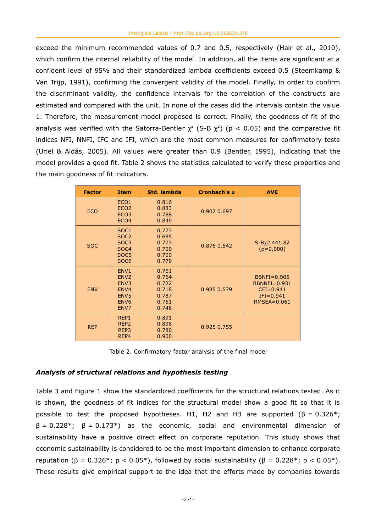exceed the minimum recommended values of 0.7 and 0.5, respectively (Hair et al., 2010), which confirm the internal reliability of the model. In addition, all the items are significant at a confident level of 95% and their standardized lambda coefficients exceed 0.5 (Steemkamp & Van Trijp, 1991), confirming the convergent validity of the model. Finally, in order to confirm the discriminant validity, the confidence intervals for the correlation of the constructs are estimated and compared with the unit. In none of the cases did the intervals contain the value 1. Therefore, the measurement model proposed is correct. Finally, the goodness of fit of the analysis was verified with the Satorra-Bentler  $\chi^2$  (S-B  $\chi^2$ ) (p < 0.05) and the comparative fit indices NFI, NNFI, IFC and IFI, which are the most common measures for confirmatory tests (Uriel & Aldás, 2005). All values were greater than 0.9 (Bentler, 1995), indicating that the model provides a good fit. Table 2 shows the statistics calculated to verify these properties and the main goodness of fit indicators.

| <b>Factor</b> | <b>Item</b>                                                                                                          | Std. lambda                                                 | Cronbach's $\alpha$ | <b>AVE</b>                                                                           |
|---------------|----------------------------------------------------------------------------------------------------------------------|-------------------------------------------------------------|---------------------|--------------------------------------------------------------------------------------|
| <b>ECO</b>    | ECO <sub>1</sub><br>ECO <sub>2</sub><br>ECO <sub>3</sub><br>ECO <sub>4</sub>                                         | 0.816<br>0.883<br>0.788<br>0.849                            | 0.902 0.697         |                                                                                      |
| <b>SOC</b>    | SOC <sub>1</sub><br>SOC <sub>2</sub><br>SOC <sub>3</sub><br>SOC <sub>4</sub><br>SOC <sub>5</sub><br>SOC <sub>6</sub> | 0.773<br>0.685<br>0.773<br>0.700<br>0.709<br>0.770          | 0.876 0.542         | $S-By2$ 441.82<br>$(p=0,000)$                                                        |
| <b>ENV</b>    | ENV1<br>ENV <sub>2</sub><br>ENV <sub>3</sub><br>ENV4<br>ENV <sub>5</sub><br>ENV <sub>6</sub><br>ENV7                 | 0.761<br>0.764<br>0.722<br>0.718<br>0.787<br>0.761<br>0.748 | 0.985 0.579         | $BBNFI = 0.905$<br>$BBNNFI = 0.931$<br>$CFI = 0.941$<br>$IFI = 0.941$<br>RMSEA=0.061 |
| <b>REP</b>    | REP1<br>REP <sub>2</sub><br>REP3<br>REP4                                                                             | 0.891<br>0.898<br>0.780<br>0.900                            | 0.925 0.755         |                                                                                      |

Table 2. Confirmatory factor analysis of the final model

#### *Analysis of structural relations and hypothesis testing*

Table 3 and Figure 1 show the standardized coefficients for the structural relations tested. As it is shown, the goodness of fit indices for the structural model show a good fit so that it is possible to test the proposed hypotheses. H1, H2 and H3 are supported ( $β = 0.326<sup>*</sup>$ ;  $\beta = 0.228^*$ ;  $\beta = 0.173^*$ ) as the economic, social and environmental dimension of sustainability have a positive direct effect on corporate reputation. This study shows that economic sustainability is considered to be the most important dimension to enhance corporate reputation (β = 0.326\*; p < 0.05\*), followed by social sustainability (β = 0.228\*; p < 0.05\*). These results give empirical support to the idea that the efforts made by companies towards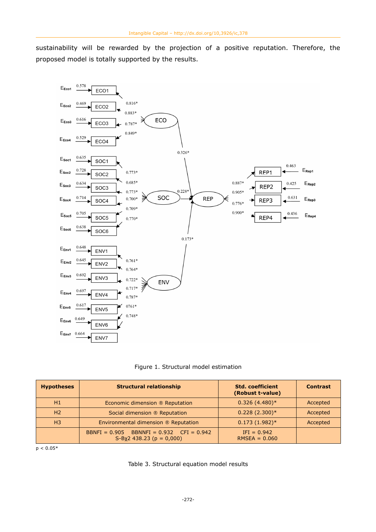sustainability will be rewarded by the projection of a positive reputation. Therefore, the proposed model is totally supported by the results.



|  |  |  | Figure 1. Structural model estimation |
|--|--|--|---------------------------------------|
|--|--|--|---------------------------------------|

| <b>Hypotheses</b> | <b>Structural relationship</b>                                                   | <b>Std. coefficient</b><br>(Robust t-value) | <b>Contrast</b> |
|-------------------|----------------------------------------------------------------------------------|---------------------------------------------|-----------------|
| H1                | Economic dimension ® Reputation                                                  | $0.326(4.480)*$                             | Accepted        |
| H <sub>2</sub>    | Social dimension ® Reputation                                                    | $0.228(2.300)*$                             | Accepted        |
| H <sub>3</sub>    | Environmental dimension ® Reputation                                             | $0.173(1.982)*$                             | Accepted        |
|                   | BBNFI = $0.905$ BBNNFI = $0.932$ CFI = $0.942$<br>$S-B\chi$ 2 438.23 (p = 0,000) | $IFI = 0.942$<br>$RMSEA = 0.060$            |                 |

 $p < 0.05*$ 

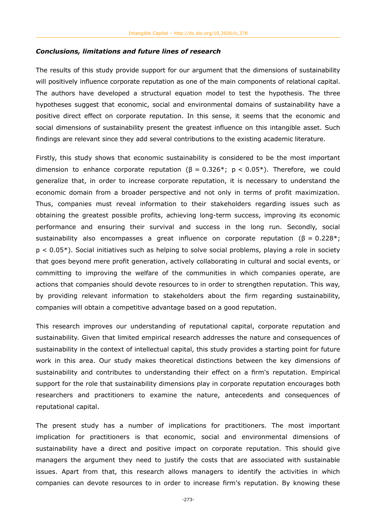#### *Conclusions, limitations and future lines of research*

The results of this study provide support for our argument that the dimensions of sustainability will positively influence corporate reputation as one of the main components of relational capital. The authors have developed a structural equation model to test the hypothesis. The three hypotheses suggest that economic, social and environmental domains of sustainability have a positive direct effect on corporate reputation. In this sense, it seems that the economic and social dimensions of sustainability present the greatest influence on this intangible asset. Such findings are relevant since they add several contributions to the existing academic literature.

Firstly, this study shows that economic sustainability is considered to be the most important dimension to enhance corporate reputation ( $\beta = 0.326$ \*; p < 0.05\*). Therefore, we could generalize that, in order to increase corporate reputation, it is necessary to understand the economic domain from a broader perspective and not only in terms of profit maximization. Thus, companies must reveal information to their stakeholders regarding issues such as obtaining the greatest possible profits, achieving long-term success, improving its economic performance and ensuring their survival and success in the long run. Secondly, social sustainability also encompasses a great influence on corporate reputation ( $\beta = 0.228$ <sup>\*</sup>; p < 0.05\*). Social initiatives such as helping to solve social problems, playing a role in society that goes beyond mere profit generation, actively collaborating in cultural and social events, or committing to improving the welfare of the communities in which companies operate, are actions that companies should devote resources to in order to strengthen reputation. This way, by providing relevant information to stakeholders about the firm regarding sustainability, companies will obtain a competitive advantage based on a good reputation.

This research improves our understanding of reputational capital, corporate reputation and sustainability. Given that limited empirical research addresses the nature and consequences of sustainability in the context of intellectual capital, this study provides a starting point for future work in this area. Our study makes theoretical distinctions between the key dimensions of sustainability and contributes to understanding their effect on a firm's reputation. Empirical support for the role that sustainability dimensions play in corporate reputation encourages both researchers and practitioners to examine the nature, antecedents and consequences of reputational capital.

The present study has a number of implications for practitioners. The most important implication for practitioners is that economic, social and environmental dimensions of sustainability have a direct and positive impact on corporate reputation. This should give managers the argument they need to justify the costs that are associated with sustainable issues. Apart from that, this research allows managers to identify the activities in which companies can devote resources to in order to increase firm's reputation. By knowing these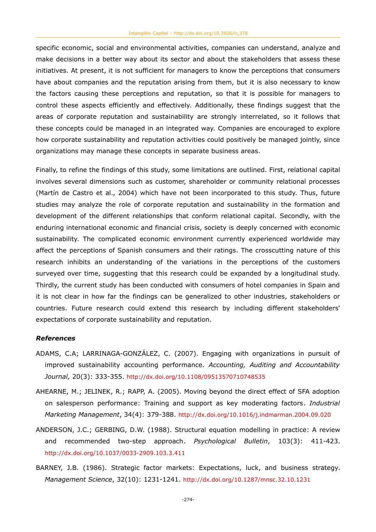specific economic, social and environmental activities, companies can understand, analyze and make decisions in a better way about its sector and about the stakeholders that assess these initiatives. At present, it is not sufficient for managers to know the perceptions that consumers have about companies and the reputation arising from them, but it is also necessary to know the factors causing these perceptions and reputation, so that it is possible for managers to control these aspects efficiently and effectively. Additionally, these findings suggest that the areas of corporate reputation and sustainability are strongly interrelated, so it follows that these concepts could be managed in an integrated way. Companies are encouraged to explore how corporate sustainability and reputation activities could positively be managed jointly, since organizations may manage these concepts in separate business areas.

Finally, to refine the findings of this study, some limitations are outlined. First, relational capital involves several dimensions such as customer, shareholder or community relational processes (Martín de Castro et al., 2004) which have not been incorporated to this study. Thus, future studies may analyze the role of corporate reputation and sustainability in the formation and development of the different relationships that conform relational capital. Secondly, with the enduring international economic and financial crisis, society is deeply concerned with economic sustainability. The complicated economic environment currently experienced worldwide may affect the perceptions of Spanish consumers and their ratings. The crosscutting nature of this research inhibits an understanding of the variations in the perceptions of the customers surveyed over time, suggesting that this research could be expanded by a longitudinal study. Thirdly, the current study has been conducted with consumers of hotel companies in Spain and it is not clear in how far the findings can be generalized to other industries, stakeholders or countries. Future research could extend this research by including different stakeholders' expectations of corporate sustainability and reputation.

#### *References*

- ADAMS, C.A; LARRINAGA-GONZÁLEZ, C. (2007). Engaging with organizations in pursuit of improved sustainability accounting performance. *Accounting, Auditing and Accountability Journal,* 20(3): 333-355. <http://dx.doi.org/10.1108/09513570710748535>
- AHEARNE, M.; JELINEK, R.; RAPP, A. (2005). Moving beyond the direct effect of SFA adoption on salesperson performance: Training and support as key moderating factors. *Industrial Marketing Management*, 34(4): 379-388. <http://dx.doi.org/10.1016/j.indmarman.2004.09.020>
- ANDERSON, J.C.; GERBING, D.W. (1988). Structural equation modelling in practice: A review and recommended two-step approach. *Psychological Bulletin*, 103(3): 411-423. <http://dx.doi.org/10.1037/0033-2909.103.3.411>
- BARNEY, J.B. (1986). Strategic factor markets: Expectations, luck, and business strategy. *Management Science*, 32(10): 1231-1241. <http://dx.doi.org/10.1287/mnsc.32.10.1231>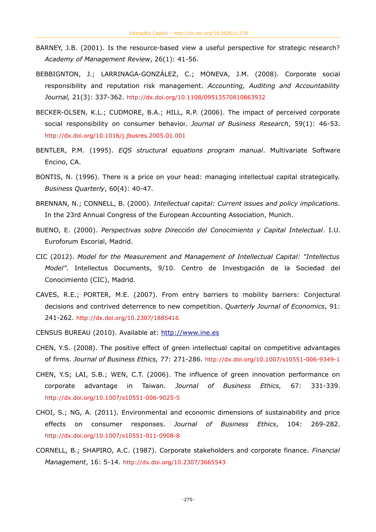- BARNEY, J.B. (2001). Is the resource-based view a useful perspective for strategic research? *Academy of Management Review*, 26(1): 41-56.
- BEBBIGNTON, J.; LARRINAGA-GONZÁLEZ, C.; MONEVA, J.M. (2008). Corporate social responsibility and reputation risk management. *Accounting, Auditing and Accountability Journal,* 21(3): 337-362. <http://dx.doi.org/10.1108/09513570810863932>
- BECKER-OLSEN, K.L.; CUDMORE, B.A.; HILL, R.P. (2006). The impact of perceived corporate social responsibility on consumer behavior. *Journal of Business Research*, 59(1): 46-53. <http://dx.doi.org/10.1016/j.jbusres.2005.01.001>
- BENTLER, P.M. (1995). *EQS structural equations program manual*. Multivariate Software Encino, CA.
- BONTIS, N. (1996). There is a price on your head: managing intellectual capital strategically. *Business Quarterly*, 60(4): 40-47.
- BRENNAN, N.; CONNELL, B. (2000). *Intellectual capital: Current issues and policy implications.* In the 23rd Annual Congress of the European Accounting Association, Munich.
- BUENO, E. (2000). *Perspectivas sobre Dirección del Conocimiento y Capital Intelectual*. I.U. Euroforum Escorial, Madrid.
- CIC (2012). *Model for the Measurement and Management of Intellectual Capital: "Intellectus Model"*. Intellectus Documents, 9/10. Centro de Investigación de la Sociedad del Conocimiento (CIC), Madrid.
- CAVES, R.E.; PORTER, M.E. (2007). From entry barriers to mobility barriers: Conjectural decisions and contrived deterrence to new competition. *Quarterly Journal of Economics*, 91: 241-262. <http://dx.doi.org/10.2307/1885416>
- CENSUS BUREAU (2010). Available at: [http://www.ine.es](http://www.ine.es/)
- CHEN, Y.S. (2008). The positive effect of green intellectual capital on competitive advantages of firms. *Journal of Business Ethics,* 77: 271-286. <http://dx.doi.org/10.1007/s10551-006-9349-1>
- CHEN, Y.S; LAI, S.B.; WEN, C.T. (2006). The influence of green innovation performance on corporate advantage in Taiwan. *Journal of Business Ethics,* 67: 331-339. <http://dx.doi.org/10.1007/s10551-006-9025-5>
- CHOI, S.; NG, A. (2011). Environmental and economic dimensions of sustainability and price effects on consumer responses. *Journal of Business Ethics*, 104: 269-282. <http://dx.doi.org/10.1007/s10551-011-0908-8>
- CORNELL, B.; SHAPIRO, A.C. (1987). Corporate stakeholders and corporate finance. *Financial Management*, 16: 5-14. <http://dx.doi.org/10.2307/3665543>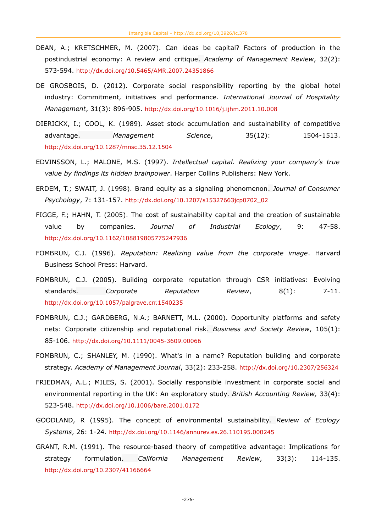- DEAN, A.; KRETSCHMER, M. (2007). Can ideas be capital? Factors of production in the postindustrial economy: A review and critique. *Academy of Management Review*, 32(2): 573-594. <http://dx.doi.org/10.5465/AMR.2007.24351866>
- DE GROSBOIS, D. (2012). Corporate social responsibility reporting by the global hotel industry: Commitment, initiatives and performance. *International Journal of Hospitality Management*, 31(3): 896-905. <http://dx.doi.org/10.1016/j.ijhm.2011.10.008>
- DIERICKX, I.; COOL, K. (1989). Asset stock accumulation and sustainability of competitive advantage. *Management Science*, 35(12): 1504-1513. <http://dx.doi.org/10.1287/mnsc.35.12.1504>
- EDVINSSON, L.; MALONE, M.S. (1997). *Intellectual capital. Realizing your company's true value by findings its hidden brainpower*. Harper Collins Publishers: New York.
- ERDEM, T.; SWAIT, J. (1998). Brand equity as a signaling phenomenon. *Journal of Consumer Psychology*, 7: 131-157. [http://dx.doi.org/10.1207/s15327663jcp0702\\_02](http://dx.doi.org/10.1207/s15327663jcp0702_02)
- FIGGE, F.; HAHN, T. (2005). The cost of sustainability capital and the creation of sustainable value by companies. *Journal of Industrial Ecology*, 9: 47-58. <http://dx.doi.org/10.1162/108819805775247936>
- FOMBRUN, C.J. (1996). *Reputation: Realizing value from the corporate image*. Harvard Business School Press: Harvard.
- FOMBRUN, C.J. (2005). Building corporate reputation through CSR initiatives: Evolving standards. *Corporate Reputation Review*, 8(1): 7-11. <http://dx.doi.org/10.1057/palgrave.crr.1540235>
- FOMBRUN, C.J.; GARDBERG, N.A.; BARNETT, M.L. (2000). Opportunity platforms and safety nets: Corporate citizenship and reputational risk. *Business and Society Review*, 105(1): 85-106. <http://dx.doi.org/10.1111/0045-3609.00066>
- FOMBRUN, C.; SHANLEY, M. (1990). What's in a name? Reputation building and corporate strategy. *Academy of Management Journal*, 33(2): 233-258. <http://dx.doi.org/10.2307/256324>
- FRIEDMAN, A.L.; MILES, S. (2001). Socially responsible investment in corporate social and environmental reporting in the UK: An exploratory study. *British Accounting Review,* 33(4): 523-548. <http://dx.doi.org/10.1006/bare.2001.0172>
- GOODLAND, R (1995). The concept of environmental sustainability. *Review of Ecology Systems*, 26: 1-24. <http://dx.doi.org/10.1146/annurev.es.26.110195.000245>
- GRANT, R.M. (1991). The resource-based theory of competitive advantage: Implications for strategy formulation. *California Management Review*, 33(3): 114-135. <http://dx.doi.org/10.2307/41166664>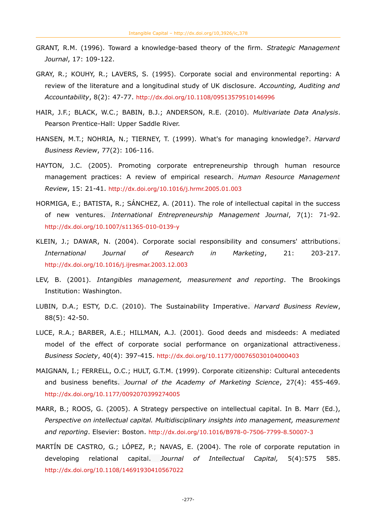- GRANT, R.M. (1996). Toward a knowledge-based theory of the firm. *Strategic Management Journal*, 17: 109-122.
- GRAY, R.; KOUHY, R.; LAVERS, S. (1995). Corporate social and environmental reporting: A review of the literature and a longitudinal study of UK disclosure. *Accounting, Auditing and Accountability*, 8(2): 47-77. <http://dx.doi.org/10.1108/09513579510146996>
- HAIR, J.F.; BLACK, W.C.; BABIN, B.J.; ANDERSON, R.E. (2010). *Multivariate Data Analysis*. Pearson Prentice-Hall: Upper Saddle River.
- HANSEN, M.T.; NOHRIA, N.; TIERNEY, T. (1999). What's for managing knowledge?. *Harvard Business Review*, 77(2): 106-116.
- HAYTON, J.C. (2005). Promoting corporate entrepreneurship through human resource management practices: A review of empirical research. *Human Resource Management Review*, 15: 21-41. <http://dx.doi.org/10.1016/j.hrmr.2005.01.003>
- HORMIGA, E.; BATISTA, R.; SÁNCHEZ, A. (2011). The role of intellectual capital in the success of new ventures. *International Entrepreneurship Management Journal*, 7(1): 71-92. <http://dx.doi.org/10.1007/s11365-010-0139-y>
- KLEIN, J.; DAWAR, N. (2004). Corporate social responsibility and consumers' attributions. *International Journal of Research in Marketing*, 21: 203-217. <http://dx.doi.org/10.1016/j.ijresmar.2003.12.003>
- LEV, B. (2001). *Intangibles management, measurement and reporting*. The Brookings Institution: Washington.
- LUBIN, D.A.; ESTY, D.C. (2010). The Sustainability Imperative. *Harvard Business Review*, 88(5): 42-50.
- LUCE, R.A.; BARBER, A.E.; HILLMAN, A.J. (2001). Good deeds and misdeeds: A mediated model of the effect of corporate social performance on organizational attractiveness. *Business Society*, 40(4): 397-415. <http://dx.doi.org/10.1177/000765030104000403>
- MAIGNAN, I.; FERRELL, O.C.; HULT, G.T.M. (1999). Corporate citizenship: Cultural antecedents and business benefits. *Journal of the Academy of Marketing Science*, 27(4): 455-469. <http://dx.doi.org/10.1177/0092070399274005>
- MARR, B.; ROOS, G. (2005). A Strategy perspective on intellectual capital. In B. Marr (Ed.), *Perspective on intellectual capital. Multidisciplinary insights into management, measurement and reporting*. Elsevier: Boston. <http://dx.doi.org/10.1016/B978-0-7506-7799-8.50007-3>
- MARTÍN DE CASTRO, G.; LÓPEZ, P.; NAVAS, E. (2004). The role of corporate reputation in developing relational capital. *[Journal of Intellectual Capital,](http://search.proquest.com/business/pubidlinkhandler/sng/pubtitle/Journal+of+Intellectual+Capital/$N/25619?accountid=14497)* 5(4):575 585. <http://dx.doi.org/10.1108/14691930410567022>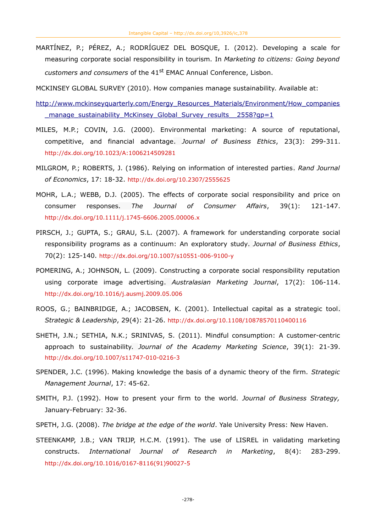MARTÍNEZ, P.; PÉREZ, A.; RODRÍGUEZ DEL BOSQUE, I. (2012). Developing a scale for measuring corporate social responsibility in tourism. In *Marketing to citizens: Going beyond customers and consumers* of the 41st EMAC Annual Conference, Lisbon.

MCKINSEY GLOBAL SURVEY (2010). How companies manage sustainability. Available at:

- [http://www.mckinseyquarterly.com/Energy\\_Resources\\_Materials/Environment/How\\_companies](http://www.mckinseyquarterly.com/Energy_Resources_Materials/Environment/How_companies_manage_sustainability_McKinsey_Global_Survey_results__2558?gp=1) manage\_sustainability\_McKinsey\_Global\_Survey\_results\_\_2558?gp=1
- MILES, M.P.; COVIN, J.G. (2000). Environmental marketing: A source of reputational, competitive, and financial advantage. *Journal of Business Ethics*, 23(3): 299-311. <http://dx.doi.org/10.1023/A:1006214509281>
- MILGROM, P.; ROBERTS, J. (1986). Relying on information of interested parties. *Rand Journal of Economics*, 17: 18-32. <http://dx.doi.org/10.2307/2555625>
- MOHR, L.A.; WEBB, D.J. (2005). The effects of corporate social responsibility and price on consumer responses. *The Journal of Consumer Affairs*, 39(1): 121-147. <http://dx.doi.org/10.1111/j.1745-6606.2005.00006.x>
- PIRSCH, J.; GUPTA, S.; GRAU, S.L. (2007). A framework for understanding corporate social responsibility programs as a continuum: An exploratory study. *Journal of Business Ethics*, 70(2): 125-140. <http://dx.doi.org/10.1007/s10551-006-9100-y>
- POMERING, A.; JOHNSON, L. (2009). Constructing a corporate social responsibility reputation using corporate image advertising. *Australasian Marketing Journal*, 17(2): 106-114. <http://dx.doi.org/10.1016/j.ausmj.2009.05.006>
- ROOS, G.; BAINBRIDGE, A.; JACOBSEN, K. (2001). Intellectual capital as a strategic tool. *Strategic & Leadership*, 29(4): 21-26. <http://dx.doi.org/10.1108/10878570110400116>
- SHETH, J.N.; SETHIA, N.K.; SRINIVAS, S. (2011). Mindful consumption: A customer-centric approach to sustainability. *Journal of the Academy Marketing Science*, 39(1): 21-39. <http://dx.doi.org/10.1007/s11747-010-0216-3>
- SPENDER, J.C. (1996). Making knowledge the basis of a dynamic theory of the firm. *Strategic Management Journal*, 17: 45-62.
- SMITH, P.J. (1992). How to present your firm to the world. *Journal of Business Strategy,* January-February: 32-36.
- SPETH, J.G. (2008). *The bridge at the edge of the world*. Yale University Press: New Haven.
- STEENKAMP, J.B.; VAN TRIJP, H.C.M. (1991). The use of LISREL in validating marketing constructs. *International Journal of Research in Marketing*, 8(4): 283-299. [http://dx.doi.org/10.1016/0167-8116\(91\)90027-5](http://dx.doi.org/10.1016/0167-8116(91)90027-5)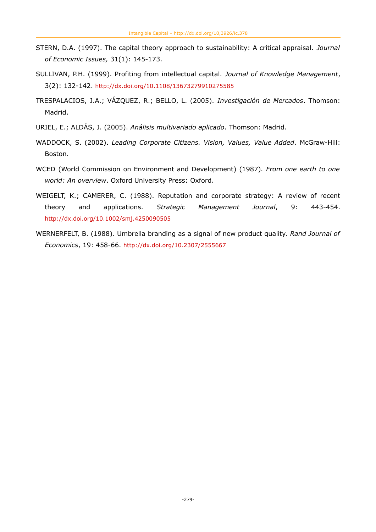- STERN, D.A. (1997). The capital theory approach to sustainability: A critical appraisal. *Journal of Economic Issues,* 31(1): 145-173.
- SULLIVAN, P.H. (1999). Profiting from intellectual capital. *Journal of Knowledge Management*, 3(2): 132-142. <http://dx.doi.org/10.1108/13673279910275585>
- TRESPALACIOS, J.A.; VÁZQUEZ, R.; BELLO, L. (2005). *Investigación de Mercados*. Thomson: Madrid.
- URIEL, E.; ALDÁS, J. (2005). *Análisis multivariado aplicado*. Thomson: Madrid.
- WADDOCK, S. (2002). *Leading Corporate Citizens. Vision, Values, Value Added*. McGraw-Hill: Boston.
- WCED (World Commission on Environment and Development) (1987)*. From one earth to one world: An overview*. Oxford University Press: Oxford.
- WEIGELT, K.; CAMERER, C. (1988). Reputation and corporate strategy: A review of recent theory and applications. *Strategic Management Journal*, 9: 443-454. <http://dx.doi.org/10.1002/smj.4250090505>
- WERNERFELT, B. (1988). Umbrella branding as a signal of new product quality. *Rand Journal of Economics*, 19: 458-66. <http://dx.doi.org/10.2307/2555667>